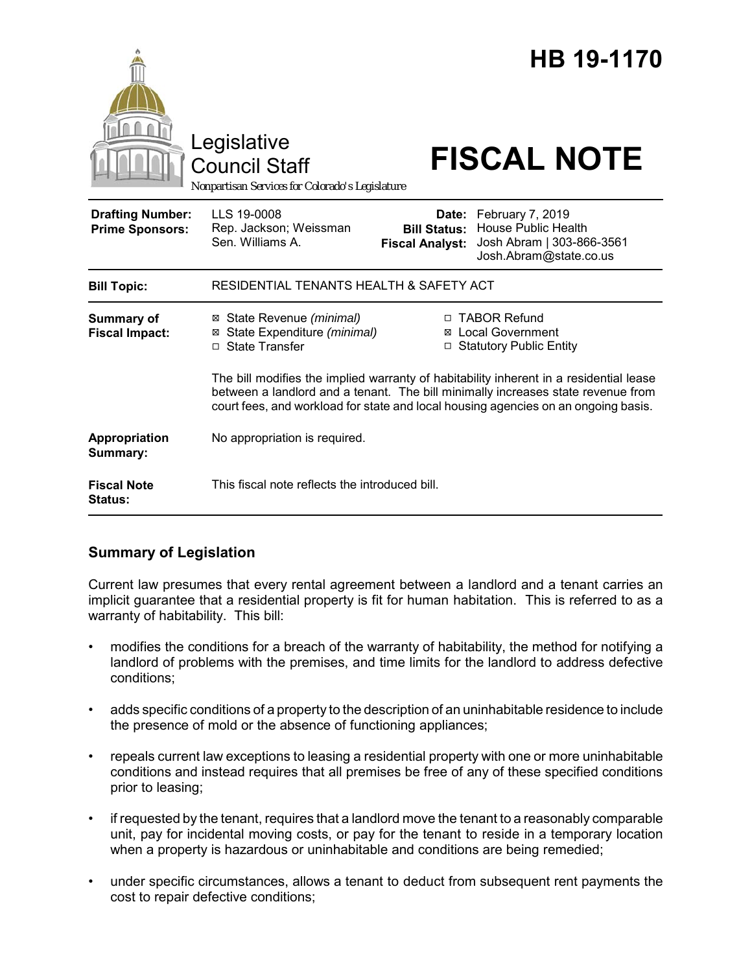|                                                   | Legislative<br><b>Council Staff</b><br>Nonpartisan Services for Colorado's Legislature                                                                                                                                                                           |                                                        | HB 19-1170<br><b>FISCAL NOTE</b>                                                                      |
|---------------------------------------------------|------------------------------------------------------------------------------------------------------------------------------------------------------------------------------------------------------------------------------------------------------------------|--------------------------------------------------------|-------------------------------------------------------------------------------------------------------|
| <b>Drafting Number:</b><br><b>Prime Sponsors:</b> | LLS 19-0008<br>Rep. Jackson; Weissman<br>Sen. Williams A.                                                                                                                                                                                                        | Date:<br><b>Bill Status:</b><br><b>Fiscal Analyst:</b> | February 7, 2019<br><b>House Public Health</b><br>Josh Abram   303-866-3561<br>Josh.Abram@state.co.us |
| <b>Bill Topic:</b>                                | RESIDENTIAL TENANTS HEALTH & SAFETY ACT                                                                                                                                                                                                                          |                                                        |                                                                                                       |
| <b>Summary of</b><br><b>Fiscal Impact:</b>        | ⊠ State Revenue (minimal)<br>State Expenditure (minimal)<br>⊠<br>□ State Transfer                                                                                                                                                                                | □                                                      | □ TABOR Refund<br>⊠ Local Government<br><b>Statutory Public Entity</b>                                |
|                                                   | The bill modifies the implied warranty of habitability inherent in a residential lease<br>between a landlord and a tenant. The bill minimally increases state revenue from<br>court fees, and workload for state and local housing agencies on an ongoing basis. |                                                        |                                                                                                       |
| Appropriation<br>Summary:                         | No appropriation is required.                                                                                                                                                                                                                                    |                                                        |                                                                                                       |
| <b>Fiscal Note</b><br><b>Status:</b>              | This fiscal note reflects the introduced bill.                                                                                                                                                                                                                   |                                                        |                                                                                                       |

## **Summary of Legislation**

Current law presumes that every rental agreement between a landlord and a tenant carries an implicit guarantee that a residential property is fit for human habitation. This is referred to as a warranty of habitability. This bill:

- modifies the conditions for a breach of the warranty of habitability, the method for notifying a landlord of problems with the premises, and time limits for the landlord to address defective conditions;
- adds specific conditions of a property to the description of an uninhabitable residence to include the presence of mold or the absence of functioning appliances;
- repeals current law exceptions to leasing a residential property with one or more uninhabitable conditions and instead requires that all premises be free of any of these specified conditions prior to leasing;
- if requested by the tenant, requires that a landlord move the tenant to a reasonably comparable unit, pay for incidental moving costs, or pay for the tenant to reside in a temporary location when a property is hazardous or uninhabitable and conditions are being remedied;
- under specific circumstances, allows a tenant to deduct from subsequent rent payments the cost to repair defective conditions;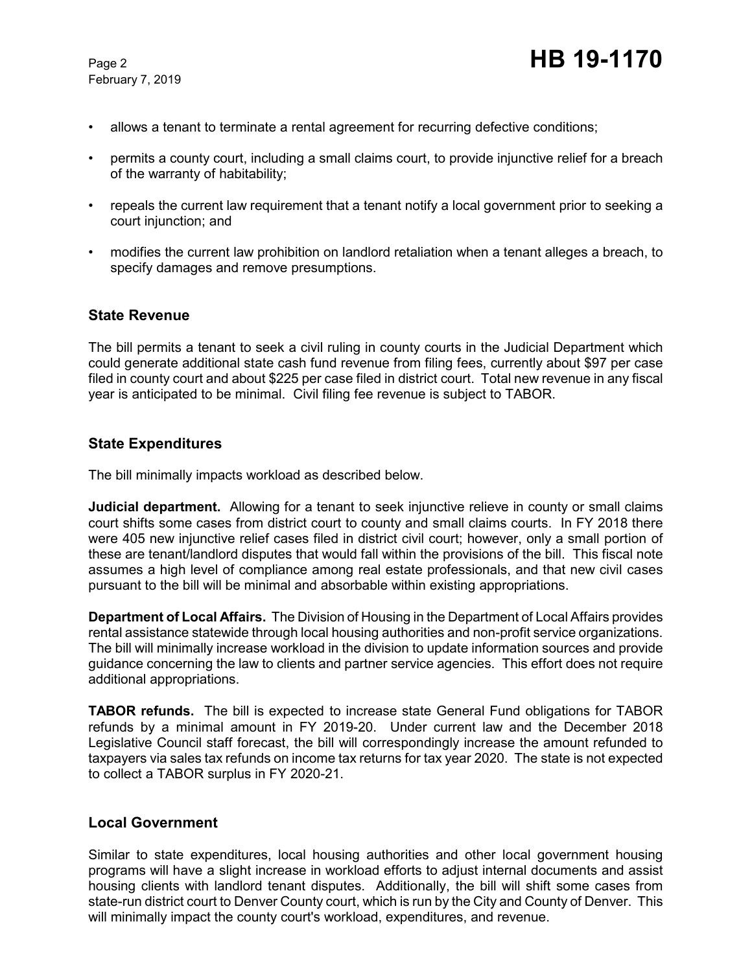February 7, 2019

- allows a tenant to terminate a rental agreement for recurring defective conditions;
- permits a county court, including a small claims court, to provide injunctive relief for a breach of the warranty of habitability;
- repeals the current law requirement that a tenant notify a local government prior to seeking a court injunction; and
- modifies the current law prohibition on landlord retaliation when a tenant alleges a breach, to specify damages and remove presumptions.

#### **State Revenue**

The bill permits a tenant to seek a civil ruling in county courts in the Judicial Department which could generate additional state cash fund revenue from filing fees, currently about \$97 per case filed in county court and about \$225 per case filed in district court. Total new revenue in any fiscal year is anticipated to be minimal. Civil filing fee revenue is subject to TABOR.

#### **State Expenditures**

The bill minimally impacts workload as described below.

**Judicial department.** Allowing for a tenant to seek injunctive relieve in county or small claims court shifts some cases from district court to county and small claims courts. In FY 2018 there were 405 new injunctive relief cases filed in district civil court; however, only a small portion of these are tenant/landlord disputes that would fall within the provisions of the bill. This fiscal note assumes a high level of compliance among real estate professionals, and that new civil cases pursuant to the bill will be minimal and absorbable within existing appropriations.

**Department of Local Affairs.** The Division of Housing in the Department of Local Affairs provides rental assistance statewide through local housing authorities and non-profit service organizations. The bill will minimally increase workload in the division to update information sources and provide guidance concerning the law to clients and partner service agencies. This effort does not require additional appropriations.

**TABOR refunds.** The bill is expected to increase state General Fund obligations for TABOR refunds by a minimal amount in FY 2019-20. Under current law and the December 2018 Legislative Council staff forecast, the bill will correspondingly increase the amount refunded to taxpayers via sales tax refunds on income tax returns for tax year 2020. The state is not expected to collect a TABOR surplus in FY 2020-21.

#### **Local Government**

Similar to state expenditures, local housing authorities and other local government housing programs will have a slight increase in workload efforts to adjust internal documents and assist housing clients with landlord tenant disputes. Additionally, the bill will shift some cases from state-run district court to Denver County court, which is run by the City and County of Denver. This will minimally impact the county court's workload, expenditures, and revenue.